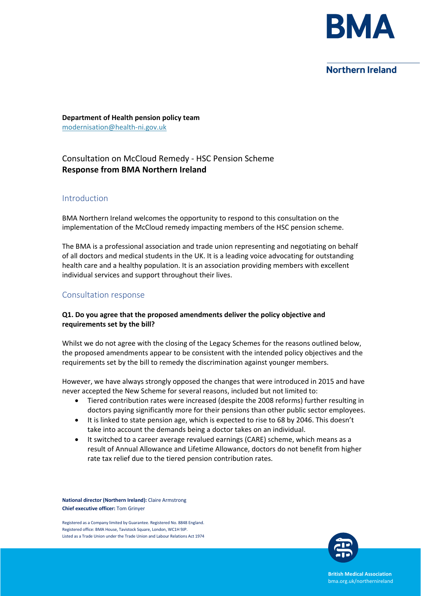

## **Northern Ireland**

**Department of Health pension policy team** modernisation@health-ni.gov.uk

# Consultation on McCloud Remedy - HSC Pension Scheme **Response from BMA Northern Ireland**

#### Introduction

BMA Northern Ireland welcomes the opportunity to respond to this consultation on the implementation of the McCloud remedy impacting members of the HSC pension scheme.

The BMA is a professional association and trade union representing and negotiating on behalf of all doctors and medical students in the UK. It is a leading voice advocating for outstanding health care and a healthy population. It is an association providing members with excellent individual services and support throughout their lives.

## Consultation response

#### **Q1. Do you agree that the proposed amendments deliver the policy objective and requirements set by the bill?**

Whilst we do not agree with the closing of the Legacy Schemes for the reasons outlined below, the proposed amendments appear to be consistent with the intended policy objectives and the requirements set by the bill to remedy the discrimination against younger members.

However, we have always strongly opposed the changes that were introduced in 2015 and have never accepted the New Scheme for several reasons, included but not limited to:

- Tiered contribution rates were increased (despite the 2008 reforms) further resulting in doctors paying significantly more for their pensions than other public sector employees.
- It is linked to state pension age, which is expected to rise to 68 by 2046. This doesn't take into account the demands being a doctor takes on an individual.
- It switched to a career average revalued earnings (CARE) scheme, which means as a result of Annual Allowance and Lifetime Allowance, doctors do not benefit from higher rate tax relief due to the tiered pension contribution rates.

**National director (Northern Ireland):** Claire Armstrong **Chief executive officer:** Tom Grinyer

Registered as a Company limited by Guarantee. Registered No. 8848 England. Registered office: BMA House, Tavistock Square, London, WC1H 9JP. Listed as a Trade Union under the Trade Union and Labour Relations Act 1974



**British Medical Association** bma.org.uk/northernireland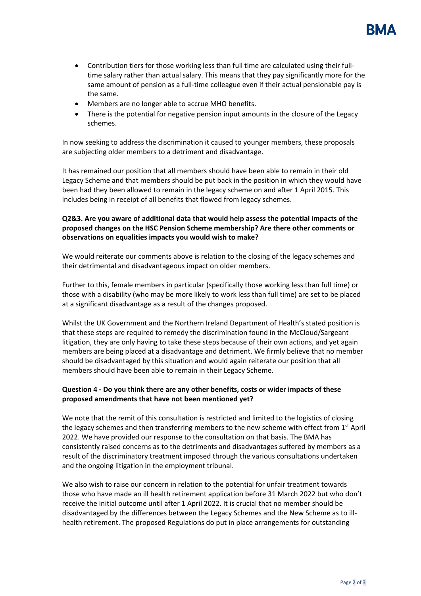

- Members are no longer able to accrue MHO benefits.
- There is the potential for negative pension input amounts in the closure of the Legacy schemes.

In now seeking to address the discrimination it caused to younger members, these proposals are subjecting older members to a detriment and disadvantage.

It has remained our position that all members should have been able to remain in their old Legacy Scheme and that members should be put back in the position in which they would have been had they been allowed to remain in the legacy scheme on and after 1 April 2015. This includes being in receipt of all benefits that flowed from legacy schemes.

#### **Q2&3. Are you aware of additional data that would help assess the potential impacts of the proposed changes on the HSC Pension Scheme membership? Are there other comments or observations on equalities impacts you would wish to make?**

We would reiterate our comments above is relation to the closing of the legacy schemes and their detrimental and disadvantageous impact on older members.

Further to this, female members in particular (specifically those working less than full time) or those with a disability (who may be more likely to work less than full time) are set to be placed at a significant disadvantage as a result of the changes proposed.

Whilst the UK Government and the Northern Ireland Department of Health's stated position is that these steps are required to remedy the discrimination found in the McCloud/Sargeant litigation, they are only having to take these steps because of their own actions, and yet again members are being placed at a disadvantage and detriment. We firmly believe that no member should be disadvantaged by this situation and would again reiterate our position that all members should have been able to remain in their Legacy Scheme.

## **Question 4 - Do you think there are any other benefits, costs or wider impacts of these proposed amendments that have not been mentioned yet?**

We note that the remit of this consultation is restricted and limited to the logistics of closing the legacy schemes and then transferring members to the new scheme with effect from  $1<sup>st</sup>$  April 2022. We have provided our response to the consultation on that basis. The BMA has consistently raised concerns as to the detriments and disadvantages suffered by members as a result of the discriminatory treatment imposed through the various consultations undertaken and the ongoing litigation in the employment tribunal.

We also wish to raise our concern in relation to the potential for unfair treatment towards those who have made an ill health retirement application before 31 March 2022 but who don't receive the initial outcome until after 1 April 2022. It is crucial that no member should be disadvantaged by the differences between the Legacy Schemes and the New Scheme as to illhealth retirement. The proposed Regulations do put in place arrangements for outstanding